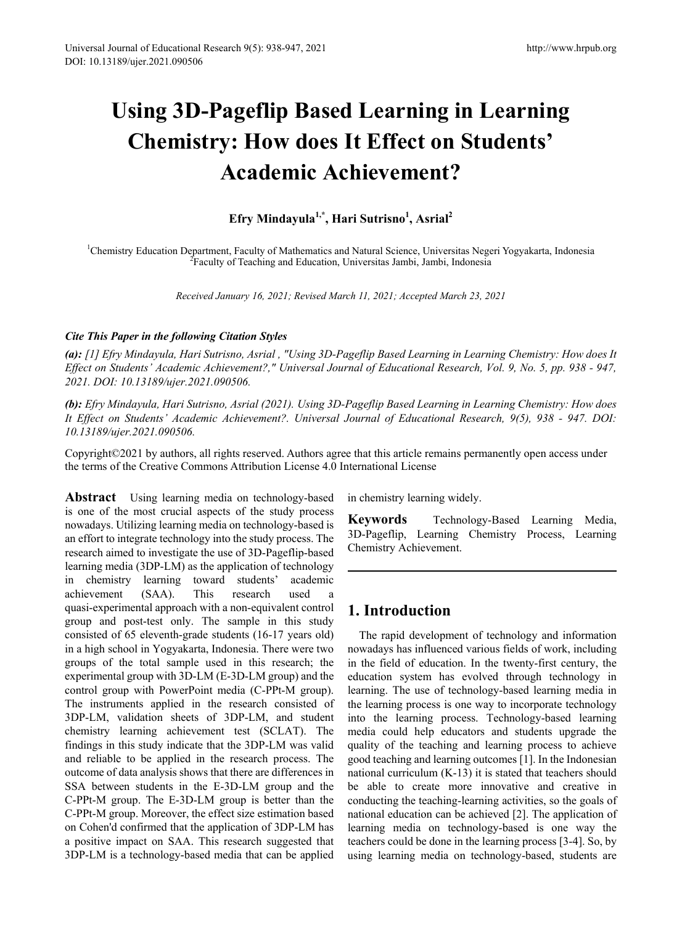# **Using 3D-Pageflip Based Learning in Learning Chemistry: How does It Effect on Students' Academic Achievement?**

**Efry Mindayula1,\*, Hari Sutrisno1 , Asrial<sup>2</sup>**

<sup>1</sup>Chemistry Education Department, Faculty of Mathematics and Natural Science, Universitas Negeri Yogyakarta, Indonesia<br><sup>2</sup> Eaculty of Teaching and Education Universitas Jambi, Jambi, Indonesia <sup>2</sup> Faculty of Teaching and Education, Universitas Jambi, Jambi, Indonesia

*Received January 16, 2021; Revised March 11, 2021; Accepted March 23, 2021*

## *Cite This Paper in the following Citation Styles*

*(a): [1] Efry Mindayula, Hari Sutrisno, Asrial , "Using 3D-Pageflip Based Learning in Learning Chemistry: How does It Effect on Students' Academic Achievement?," Universal Journal of Educational Research, Vol. 9, No. 5, pp. 938 - 947, 2021. DOI: 10.13189/ujer.2021.090506.* 

*(b): Efry Mindayula, Hari Sutrisno, Asrial (2021). Using 3D-Pageflip Based Learning in Learning Chemistry: How does It Effect on Students' Academic Achievement?. Universal Journal of Educational Research, 9(5), 938 - 947. DOI: 10.13189/ujer.2021.090506.* 

Copyright©2021 by authors, all rights reserved. Authors agree that this article remains permanently open access under the terms of the Creative Commons Attribution License 4.0 International License

**Abstract** Using learning media on technology-based is one of the most crucial aspects of the study process nowadays. Utilizing learning media on technology-based is an effort to integrate technology into the study process. The research aimed to investigate the use of 3D-Pageflip-based learning media (3DP-LM) as the application of technology in chemistry learning toward students' academic achievement (SAA). This research used a quasi-experimental approach with a non-equivalent control group and post-test only. The sample in this study consisted of 65 eleventh-grade students (16-17 years old) in a high school in Yogyakarta, Indonesia. There were two groups of the total sample used in this research; the experimental group with 3D-LM (E-3D-LM group) and the control group with PowerPoint media (C-PPt-M group). The instruments applied in the research consisted of 3DP-LM, validation sheets of 3DP-LM, and student chemistry learning achievement test (SCLAT). The findings in this study indicate that the 3DP-LM was valid and reliable to be applied in the research process. The outcome of data analysis shows that there are differences in SSA between students in the E-3D-LM group and the C-PPt-M group. The E-3D-LM group is better than the C-PPt-M group. Moreover, the effect size estimation based on Cohen'd confirmed that the application of 3DP-LM has a positive impact on SAA. This research suggested that 3DP-LM is a technology-based media that can be applied

in chemistry learning widely.

**Keywords** Technology-Based Learning Media, 3D-Pageflip, Learning Chemistry Process, Learning Chemistry Achievement.

## **1. Introduction**

The rapid development of technology and information nowadays has influenced various fields of work, including in the field of education. In the twenty-first century, the education system has evolved through technology in learning. The use of technology-based learning media in the learning process is one way to incorporate technology into the learning process. Technology-based learning media could help educators and students upgrade the quality of the teaching and learning process to achieve good teaching and learning outcomes [1]. In the Indonesian national curriculum (K-13) it is stated that teachers should be able to create more innovative and creative in conducting the teaching-learning activities, so the goals of national education can be achieved [2]. The application of learning media on technology-based is one way the teachers could be done in the learning process [3-4]. So, by using learning media on technology-based, students are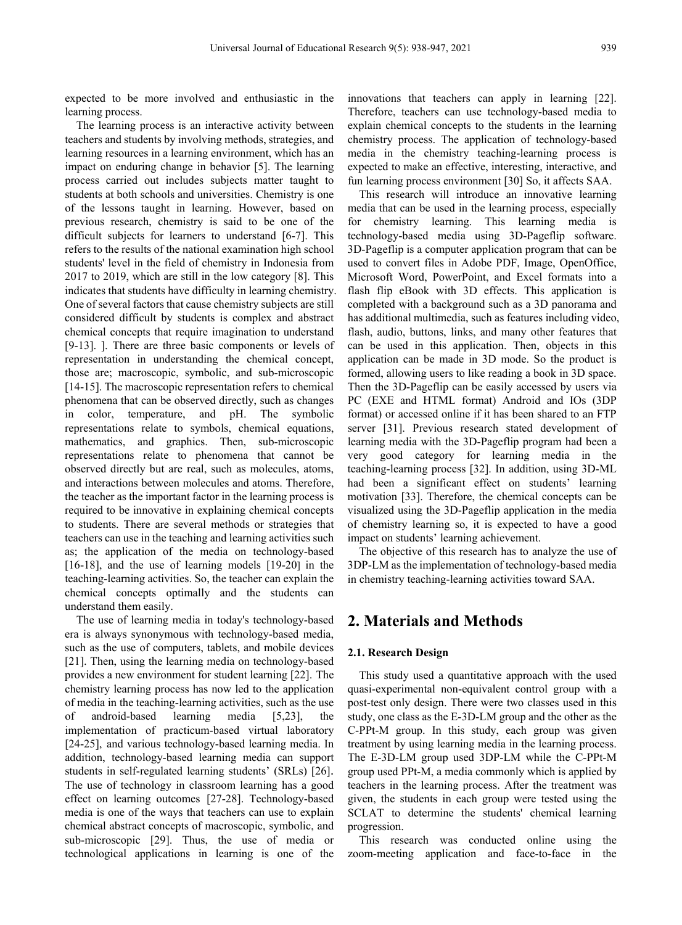expected to be more involved and enthusiastic in the learning process.

The learning process is an interactive activity between teachers and students by involving methods, strategies, and learning resources in a learning environment, which has an impact on enduring change in behavior [5]. The learning process carried out includes subjects matter taught to students at both schools and universities. Chemistry is one of the lessons taught in learning. However, based on previous research, chemistry is said to be one of the difficult subjects for learners to understand [6-7]. This refers to the results of the national examination high school students' level in the field of chemistry in Indonesia from 2017 to 2019, which are still in the low category [8]. This indicates that students have difficulty in learning chemistry. One of several factors that cause chemistry subjects are still considered difficult by students is complex and abstract chemical concepts that require imagination to understand [9-13]. ]. There are three basic components or levels of representation in understanding the chemical concept, those are; macroscopic, symbolic, and sub-microscopic [14-15]. The macroscopic representation refers to chemical phenomena that can be observed directly, such as changes in color, temperature, and pH. The symbolic representations relate to symbols, chemical equations, mathematics, and graphics. Then, sub-microscopic representations relate to phenomena that cannot be observed directly but are real, such as molecules, atoms, and interactions between molecules and atoms. Therefore, the teacher as the important factor in the learning process is required to be innovative in explaining chemical concepts to students. There are several methods or strategies that teachers can use in the teaching and learning activities such as; the application of the media on technology-based [16-18], and the use of learning models [19-20] in the teaching-learning activities. So, the teacher can explain the chemical concepts optimally and the students can understand them easily.

The use of learning media in today's technology-based era is always synonymous with technology-based media, such as the use of computers, tablets, and mobile devices [21]. Then, using the learning media on technology-based provides a new environment for student learning [22]. The chemistry learning process has now led to the application of media in the teaching-learning activities, such as the use of android-based learning media [5,23], the implementation of practicum-based virtual laboratory [24-25], and various technology-based learning media. In addition, technology-based learning media can support students in self-regulated learning students' (SRLs) [26]. The use of technology in classroom learning has a good effect on learning outcomes [27-28]. Technology-based media is one of the ways that teachers can use to explain chemical abstract concepts of macroscopic, symbolic, and sub-microscopic [29]. Thus, the use of media or technological applications in learning is one of the innovations that teachers can apply in learning [22]. Therefore, teachers can use technology-based media to explain chemical concepts to the students in the learning chemistry process. The application of technology-based media in the chemistry teaching-learning process is expected to make an effective, interesting, interactive, and fun learning process environment [30] So, it affects SAA.

This research will introduce an innovative learning media that can be used in the learning process, especially for chemistry learning. This learning media is technology-based media using 3D-Pageflip software. 3D-Pageflip is a computer application program that can be used to convert files in Adobe PDF, Image, OpenOffice, Microsoft Word, PowerPoint, and Excel formats into a flash flip eBook with 3D effects. This application is completed with a background such as a 3D panorama and has additional multimedia, such as features including video, flash, audio, buttons, links, and many other features that can be used in this application. Then, objects in this application can be made in 3D mode. So the product is formed, allowing users to like reading a book in 3D space. Then the 3D-Pageflip can be easily accessed by users via PC (EXE and HTML format) Android and IOs (3DP format) or accessed online if it has been shared to an FTP server [31]. Previous research stated development of learning media with the 3D-Pageflip program had been a very good category for learning media in the teaching-learning process [32]. In addition, using 3D-ML had been a significant effect on students' learning motivation [33]. Therefore, the chemical concepts can be visualized using the 3D-Pageflip application in the media of chemistry learning so, it is expected to have a good impact on students' learning achievement.

The objective of this research has to analyze the use of 3DP-LM as the implementation of technology-based media in chemistry teaching-learning activities toward SAA.

## **2. Materials and Methods**

#### **2.1. Research Design**

This study used a quantitative approach with the used quasi-experimental non-equivalent control group with a post-test only design. There were two classes used in this study, one class as the E-3D-LM group and the other as the C-PPt-M group. In this study, each group was given treatment by using learning media in the learning process. The E-3D-LM group used 3DP-LM while the C-PPt-M group used PPt-M, a media commonly which is applied by teachers in the learning process. After the treatment was given, the students in each group were tested using the SCLAT to determine the students' chemical learning progression.

This research was conducted online using the zoom-meeting application and face-to-face in the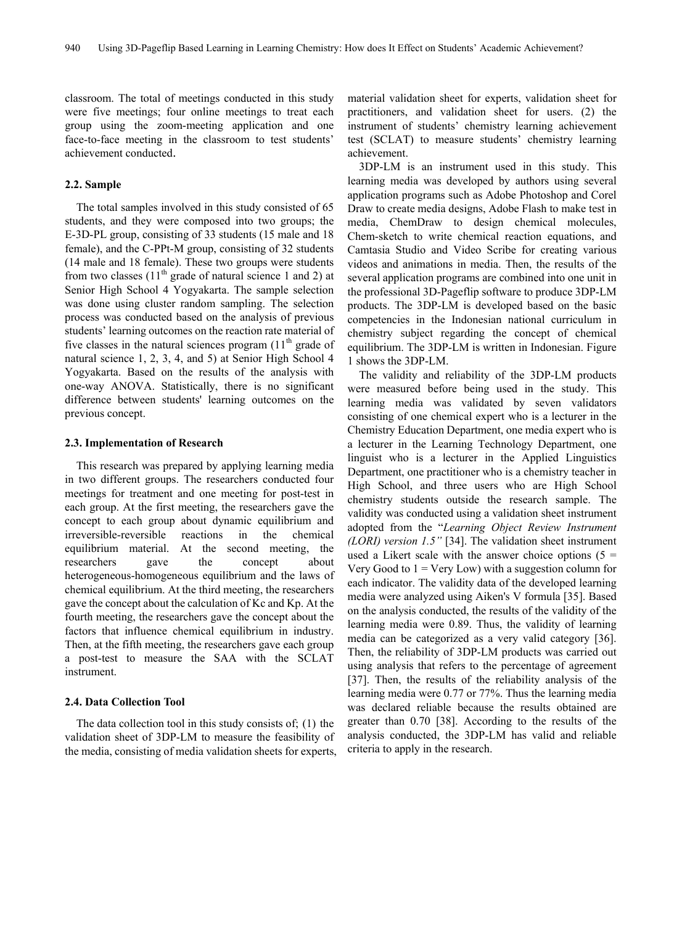classroom. The total of meetings conducted in this study were five meetings; four online meetings to treat each group using the zoom-meeting application and one face-to-face meeting in the classroom to test students' achievement conducted.

#### **2.2. Sample**

The total samples involved in this study consisted of 65 students, and they were composed into two groups; the E-3D-PL group, consisting of 33 students (15 male and 18 female), and the C-PPt-M group, consisting of 32 students (14 male and 18 female). These two groups were students from two classes  $(11<sup>th</sup>$  grade of natural science 1 and 2) at Senior High School 4 Yogyakarta. The sample selection was done using cluster random sampling. The selection process was conducted based on the analysis of previous students' learning outcomes on the reaction rate material of five classes in the natural sciences program  $(11<sup>th</sup>$  grade of natural science 1, 2, 3, 4, and 5) at Senior High School 4 Yogyakarta. Based on the results of the analysis with one-way ANOVA. Statistically, there is no significant difference between students' learning outcomes on the previous concept.

#### **2.3. Implementation of Research**

This research was prepared by applying learning media in two different groups. The researchers conducted four meetings for treatment and one meeting for post-test in each group. At the first meeting, the researchers gave the concept to each group about dynamic equilibrium and irreversible-reversible reactions in the chemical equilibrium material. At the second meeting, the researchers gave the concept about heterogeneous-homogeneous equilibrium and the laws of chemical equilibrium. At the third meeting, the researchers gave the concept about the calculation of Kc and Kp. At the fourth meeting, the researchers gave the concept about the factors that influence chemical equilibrium in industry. Then, at the fifth meeting, the researchers gave each group a post-test to measure the SAA with the SCLAT instrument.

## **2.4. Data Collection Tool**

The data collection tool in this study consists of; (1) the validation sheet of 3DP-LM to measure the feasibility of the media, consisting of media validation sheets for experts, material validation sheet for experts, validation sheet for practitioners, and validation sheet for users. (2) the instrument of students' chemistry learning achievement test (SCLAT) to measure students' chemistry learning achievement.

3DP-LM is an instrument used in this study. This learning media was developed by authors using several application programs such as Adobe Photoshop and Corel Draw to create media designs, Adobe Flash to make test in media, ChemDraw to design chemical molecules, Chem-sketch to write chemical reaction equations, and Camtasia Studio and Video Scribe for creating various videos and animations in media. Then, the results of the several application programs are combined into one unit in the professional 3D-Pageflip software to produce 3DP-LM products. The 3DP-LM is developed based on the basic competencies in the Indonesian national curriculum in chemistry subject regarding the concept of chemical equilibrium. The 3DP-LM is written in Indonesian. Figure 1 shows the 3DP-LM.

The validity and reliability of the 3DP-LM products were measured before being used in the study. This learning media was validated by seven validators consisting of one chemical expert who is a lecturer in the Chemistry Education Department, one media expert who is a lecturer in the Learning Technology Department, one linguist who is a lecturer in the Applied Linguistics Department, one practitioner who is a chemistry teacher in High School, and three users who are High School chemistry students outside the research sample. The validity was conducted using a validation sheet instrument adopted from the "*Learning Object Review Instrument (LORI) version 1.5"* [34]. The validation sheet instrument used a Likert scale with the answer choice options  $(5 =$ Very Good to  $1 = \text{Very Low}$ ) with a suggestion column for each indicator. The validity data of the developed learning media were analyzed using Aiken's V formula [35]. Based on the analysis conducted, the results of the validity of the learning media were 0.89. Thus, the validity of learning media can be categorized as a very valid category [36]. Then, the reliability of 3DP-LM products was carried out using analysis that refers to the percentage of agreement [37]. Then, the results of the reliability analysis of the learning media were 0.77 or 77%. Thus the learning media was declared reliable because the results obtained are greater than 0.70 [38]. According to the results of the analysis conducted, the 3DP-LM has valid and reliable criteria to apply in the research.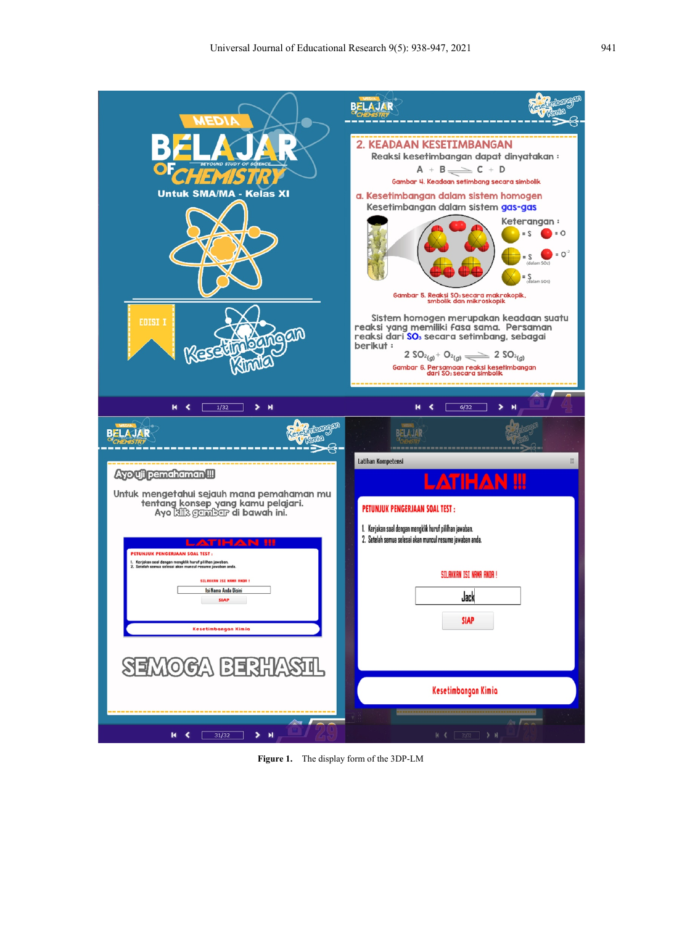

**Figure 1.** The display form of the 3DP-LM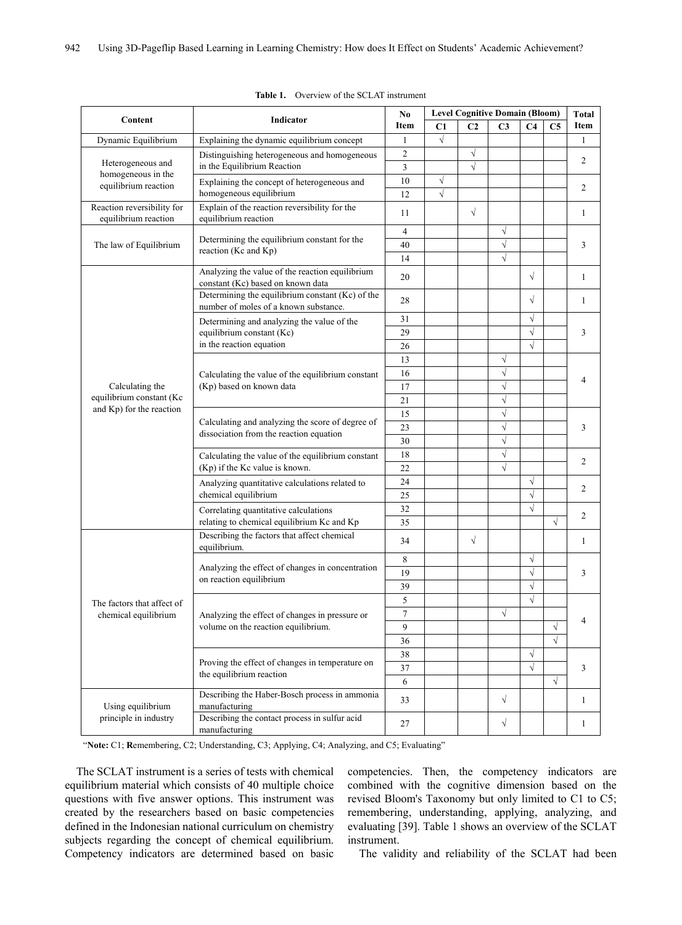|                                                                 |                                                                                                                                                                                                                                                                                                                                                                                                                                                                                                                                                                                                                                                                                                                                                                                                                                                                                                                                                                                                                                                                                                                                                                                                                                                                     | No<br>Item     | <b>Level Cognitive Domain (Bloom)</b> |                |                |                |                | Total          |  |
|-----------------------------------------------------------------|---------------------------------------------------------------------------------------------------------------------------------------------------------------------------------------------------------------------------------------------------------------------------------------------------------------------------------------------------------------------------------------------------------------------------------------------------------------------------------------------------------------------------------------------------------------------------------------------------------------------------------------------------------------------------------------------------------------------------------------------------------------------------------------------------------------------------------------------------------------------------------------------------------------------------------------------------------------------------------------------------------------------------------------------------------------------------------------------------------------------------------------------------------------------------------------------------------------------------------------------------------------------|----------------|---------------------------------------|----------------|----------------|----------------|----------------|----------------|--|
| Content                                                         | Indicator                                                                                                                                                                                                                                                                                                                                                                                                                                                                                                                                                                                                                                                                                                                                                                                                                                                                                                                                                                                                                                                                                                                                                                                                                                                           |                | C1                                    | C <sub>2</sub> | C <sub>3</sub> | C <sub>4</sub> | C <sub>5</sub> | Item           |  |
| Dynamic Equilibrium                                             | Explaining the dynamic equilibrium concept                                                                                                                                                                                                                                                                                                                                                                                                                                                                                                                                                                                                                                                                                                                                                                                                                                                                                                                                                                                                                                                                                                                                                                                                                          | 1              | $\sqrt{ }$                            |                |                |                |                | 1              |  |
|                                                                 | Distinguishing heterogeneous and homogeneous                                                                                                                                                                                                                                                                                                                                                                                                                                                                                                                                                                                                                                                                                                                                                                                                                                                                                                                                                                                                                                                                                                                                                                                                                        | $\overline{c}$ |                                       | $\sqrt{}$      |                |                |                | 2              |  |
| Heterogeneous and<br>homogeneous in the<br>equilibrium reaction | in the Equilibrium Reaction                                                                                                                                                                                                                                                                                                                                                                                                                                                                                                                                                                                                                                                                                                                                                                                                                                                                                                                                                                                                                                                                                                                                                                                                                                         | 3              |                                       | $\sqrt{ }$     |                |                |                |                |  |
|                                                                 | Explaining the concept of heterogeneous and                                                                                                                                                                                                                                                                                                                                                                                                                                                                                                                                                                                                                                                                                                                                                                                                                                                                                                                                                                                                                                                                                                                                                                                                                         | 10             | $\sqrt{}$                             |                |                |                |                |                |  |
|                                                                 | homogeneous equilibrium                                                                                                                                                                                                                                                                                                                                                                                                                                                                                                                                                                                                                                                                                                                                                                                                                                                                                                                                                                                                                                                                                                                                                                                                                                             |                | $\sqrt{}$                             |                |                |                |                | 2              |  |
| Reaction reversibility for<br>equilibrium reaction              | Explain of the reaction reversibility for the                                                                                                                                                                                                                                                                                                                                                                                                                                                                                                                                                                                                                                                                                                                                                                                                                                                                                                                                                                                                                                                                                                                                                                                                                       | 11             |                                       | $\sqrt{ }$     |                |                |                | 1              |  |
|                                                                 | 12<br>equilibrium reaction<br>4<br>Determining the equilibrium constant for the<br>40<br>reaction (Kc and Kp)<br>14<br>Analyzing the value of the reaction equilibrium<br>20<br>constant (Kc) based on known data<br>Determining the equilibrium constant (Kc) of the<br>28<br>number of moles of a known substance.<br>31<br>Determining and analyzing the value of the<br>equilibrium constant (Kc)<br>29<br>in the reaction equation<br>26<br>13<br>16<br>Calculating the value of the equilibrium constant<br>(Kp) based on known data<br>17<br>21<br>15<br>Calculating and analyzing the score of degree of<br>23<br>dissociation from the reaction equation<br>30<br>18<br>Calculating the value of the equilibrium constant<br>(Kp) if the Kc value is known.<br>22<br>24<br>Analyzing quantitative calculations related to<br>chemical equilibrium<br>25<br>32<br>Correlating quantitative calculations<br>relating to chemical equilibrium Kc and Kp<br>35<br>Describing the factors that affect chemical<br>34<br>equilibrium.<br>$\,8\,$<br>Analyzing the effect of changes in concentration<br>19<br>on reaction equilibrium<br>39<br>5<br>$\overline{7}$<br>Analyzing the effect of changes in pressure or<br>volume on the reaction equilibrium.<br>9 |                |                                       |                | $\sqrt{}$      |                |                |                |  |
| The law of Equilibrium                                          |                                                                                                                                                                                                                                                                                                                                                                                                                                                                                                                                                                                                                                                                                                                                                                                                                                                                                                                                                                                                                                                                                                                                                                                                                                                                     |                |                                       | $\sqrt{ }$     |                |                | 3              |                |  |
|                                                                 |                                                                                                                                                                                                                                                                                                                                                                                                                                                                                                                                                                                                                                                                                                                                                                                                                                                                                                                                                                                                                                                                                                                                                                                                                                                                     |                |                                       |                | $\sqrt{2}$     |                |                |                |  |
|                                                                 |                                                                                                                                                                                                                                                                                                                                                                                                                                                                                                                                                                                                                                                                                                                                                                                                                                                                                                                                                                                                                                                                                                                                                                                                                                                                     |                |                                       |                |                | $\sqrt{}$      |                | 1              |  |
|                                                                 |                                                                                                                                                                                                                                                                                                                                                                                                                                                                                                                                                                                                                                                                                                                                                                                                                                                                                                                                                                                                                                                                                                                                                                                                                                                                     |                |                                       |                |                | $\sqrt{}$      |                | 1              |  |
|                                                                 |                                                                                                                                                                                                                                                                                                                                                                                                                                                                                                                                                                                                                                                                                                                                                                                                                                                                                                                                                                                                                                                                                                                                                                                                                                                                     |                |                                       |                |                | $\sqrt{}$      |                | 3              |  |
|                                                                 |                                                                                                                                                                                                                                                                                                                                                                                                                                                                                                                                                                                                                                                                                                                                                                                                                                                                                                                                                                                                                                                                                                                                                                                                                                                                     |                |                                       |                |                | $\sqrt{}$      |                |                |  |
|                                                                 |                                                                                                                                                                                                                                                                                                                                                                                                                                                                                                                                                                                                                                                                                                                                                                                                                                                                                                                                                                                                                                                                                                                                                                                                                                                                     |                |                                       |                |                | $\sqrt{}$      |                |                |  |
|                                                                 |                                                                                                                                                                                                                                                                                                                                                                                                                                                                                                                                                                                                                                                                                                                                                                                                                                                                                                                                                                                                                                                                                                                                                                                                                                                                     |                |                                       |                | $\sqrt{}$      |                |                | 4              |  |
|                                                                 |                                                                                                                                                                                                                                                                                                                                                                                                                                                                                                                                                                                                                                                                                                                                                                                                                                                                                                                                                                                                                                                                                                                                                                                                                                                                     |                |                                       |                | $\sqrt{}$      |                |                |                |  |
| Calculating the                                                 |                                                                                                                                                                                                                                                                                                                                                                                                                                                                                                                                                                                                                                                                                                                                                                                                                                                                                                                                                                                                                                                                                                                                                                                                                                                                     |                |                                       |                | $\sqrt{ }$     |                |                |                |  |
| equilibrium constant (Kc                                        |                                                                                                                                                                                                                                                                                                                                                                                                                                                                                                                                                                                                                                                                                                                                                                                                                                                                                                                                                                                                                                                                                                                                                                                                                                                                     |                |                                       |                | $\sqrt{ }$     |                |                |                |  |
| and Kp) for the reaction                                        |                                                                                                                                                                                                                                                                                                                                                                                                                                                                                                                                                                                                                                                                                                                                                                                                                                                                                                                                                                                                                                                                                                                                                                                                                                                                     |                |                                       |                | $\sqrt{}$      |                |                | 3              |  |
|                                                                 |                                                                                                                                                                                                                                                                                                                                                                                                                                                                                                                                                                                                                                                                                                                                                                                                                                                                                                                                                                                                                                                                                                                                                                                                                                                                     |                |                                       |                | $\sqrt{}$      |                |                |                |  |
|                                                                 |                                                                                                                                                                                                                                                                                                                                                                                                                                                                                                                                                                                                                                                                                                                                                                                                                                                                                                                                                                                                                                                                                                                                                                                                                                                                     |                |                                       |                | $\sqrt{}$      |                |                |                |  |
|                                                                 |                                                                                                                                                                                                                                                                                                                                                                                                                                                                                                                                                                                                                                                                                                                                                                                                                                                                                                                                                                                                                                                                                                                                                                                                                                                                     |                |                                       |                | $\sqrt{}$      |                |                | 2              |  |
|                                                                 |                                                                                                                                                                                                                                                                                                                                                                                                                                                                                                                                                                                                                                                                                                                                                                                                                                                                                                                                                                                                                                                                                                                                                                                                                                                                     |                |                                       |                | $\sqrt{ }$     |                |                |                |  |
|                                                                 |                                                                                                                                                                                                                                                                                                                                                                                                                                                                                                                                                                                                                                                                                                                                                                                                                                                                                                                                                                                                                                                                                                                                                                                                                                                                     |                |                                       |                |                | $\sqrt{}$      |                |                |  |
|                                                                 |                                                                                                                                                                                                                                                                                                                                                                                                                                                                                                                                                                                                                                                                                                                                                                                                                                                                                                                                                                                                                                                                                                                                                                                                                                                                     |                |                                       |                |                | $\sqrt{}$      |                | $\overline{c}$ |  |
|                                                                 |                                                                                                                                                                                                                                                                                                                                                                                                                                                                                                                                                                                                                                                                                                                                                                                                                                                                                                                                                                                                                                                                                                                                                                                                                                                                     |                |                                       |                |                | $\sqrt{}$      |                |                |  |
|                                                                 |                                                                                                                                                                                                                                                                                                                                                                                                                                                                                                                                                                                                                                                                                                                                                                                                                                                                                                                                                                                                                                                                                                                                                                                                                                                                     |                |                                       |                |                |                | $\sqrt{}$      | 2              |  |
| The factors that affect of<br>chemical equilibrium              |                                                                                                                                                                                                                                                                                                                                                                                                                                                                                                                                                                                                                                                                                                                                                                                                                                                                                                                                                                                                                                                                                                                                                                                                                                                                     |                |                                       | $\sqrt{}$      |                |                |                | 1              |  |
|                                                                 |                                                                                                                                                                                                                                                                                                                                                                                                                                                                                                                                                                                                                                                                                                                                                                                                                                                                                                                                                                                                                                                                                                                                                                                                                                                                     |                |                                       |                |                | $\sqrt{}$      |                | 3              |  |
|                                                                 |                                                                                                                                                                                                                                                                                                                                                                                                                                                                                                                                                                                                                                                                                                                                                                                                                                                                                                                                                                                                                                                                                                                                                                                                                                                                     |                |                                       |                |                | $\sqrt{ }$     |                |                |  |
|                                                                 |                                                                                                                                                                                                                                                                                                                                                                                                                                                                                                                                                                                                                                                                                                                                                                                                                                                                                                                                                                                                                                                                                                                                                                                                                                                                     |                |                                       |                |                | $\sqrt{}$      |                |                |  |
|                                                                 |                                                                                                                                                                                                                                                                                                                                                                                                                                                                                                                                                                                                                                                                                                                                                                                                                                                                                                                                                                                                                                                                                                                                                                                                                                                                     |                |                                       |                |                | $\sqrt{}$      |                | $\overline{4}$ |  |
|                                                                 |                                                                                                                                                                                                                                                                                                                                                                                                                                                                                                                                                                                                                                                                                                                                                                                                                                                                                                                                                                                                                                                                                                                                                                                                                                                                     |                |                                       |                | $\sqrt{}$      |                |                |                |  |
|                                                                 |                                                                                                                                                                                                                                                                                                                                                                                                                                                                                                                                                                                                                                                                                                                                                                                                                                                                                                                                                                                                                                                                                                                                                                                                                                                                     |                |                                       |                |                |                | $\sqrt{}$      |                |  |
|                                                                 |                                                                                                                                                                                                                                                                                                                                                                                                                                                                                                                                                                                                                                                                                                                                                                                                                                                                                                                                                                                                                                                                                                                                                                                                                                                                     | 36             |                                       |                |                |                | $\sqrt{}$      |                |  |
|                                                                 |                                                                                                                                                                                                                                                                                                                                                                                                                                                                                                                                                                                                                                                                                                                                                                                                                                                                                                                                                                                                                                                                                                                                                                                                                                                                     | 38             |                                       |                |                | $\sqrt{ }$     |                |                |  |
|                                                                 | Proving the effect of changes in temperature on<br>the equilibrium reaction                                                                                                                                                                                                                                                                                                                                                                                                                                                                                                                                                                                                                                                                                                                                                                                                                                                                                                                                                                                                                                                                                                                                                                                         | 37             |                                       |                |                | $\sqrt{ }$     |                | 3              |  |
|                                                                 |                                                                                                                                                                                                                                                                                                                                                                                                                                                                                                                                                                                                                                                                                                                                                                                                                                                                                                                                                                                                                                                                                                                                                                                                                                                                     | 6              |                                       |                |                |                | $\sqrt{}$      |                |  |
|                                                                 | Describing the Haber-Bosch process in ammonia                                                                                                                                                                                                                                                                                                                                                                                                                                                                                                                                                                                                                                                                                                                                                                                                                                                                                                                                                                                                                                                                                                                                                                                                                       |                |                                       |                |                |                |                |                |  |
| Using equilibrium                                               | manufacturing                                                                                                                                                                                                                                                                                                                                                                                                                                                                                                                                                                                                                                                                                                                                                                                                                                                                                                                                                                                                                                                                                                                                                                                                                                                       | 33             |                                       |                | $\sqrt{}$      |                |                | 1              |  |
| principle in industry                                           | Describing the contact process in sulfur acid<br>manufacturing                                                                                                                                                                                                                                                                                                                                                                                                                                                                                                                                                                                                                                                                                                                                                                                                                                                                                                                                                                                                                                                                                                                                                                                                      |                |                                       |                | $\sqrt{}$      |                |                | $\mathbf{1}$   |  |

**Table 1.** Overview of the SCLAT instrument

"**Note:** C1; **R**emembering, C2; Understanding, C3; Applying, C4; Analyzing, and C5; Evaluating"

The SCLAT instrument is a series of tests with chemical equilibrium material which consists of 40 multiple choice questions with five answer options. This instrument was created by the researchers based on basic competencies defined in the Indonesian national curriculum on chemistry subjects regarding the concept of chemical equilibrium. Competency indicators are determined based on basic competencies. Then, the competency indicators are combined with the cognitive dimension based on the revised Bloom's Taxonomy but only limited to C1 to C5; remembering, understanding, applying, analyzing, and evaluating [39]. Table 1 shows an overview of the SCLAT instrument.

The validity and reliability of the SCLAT had been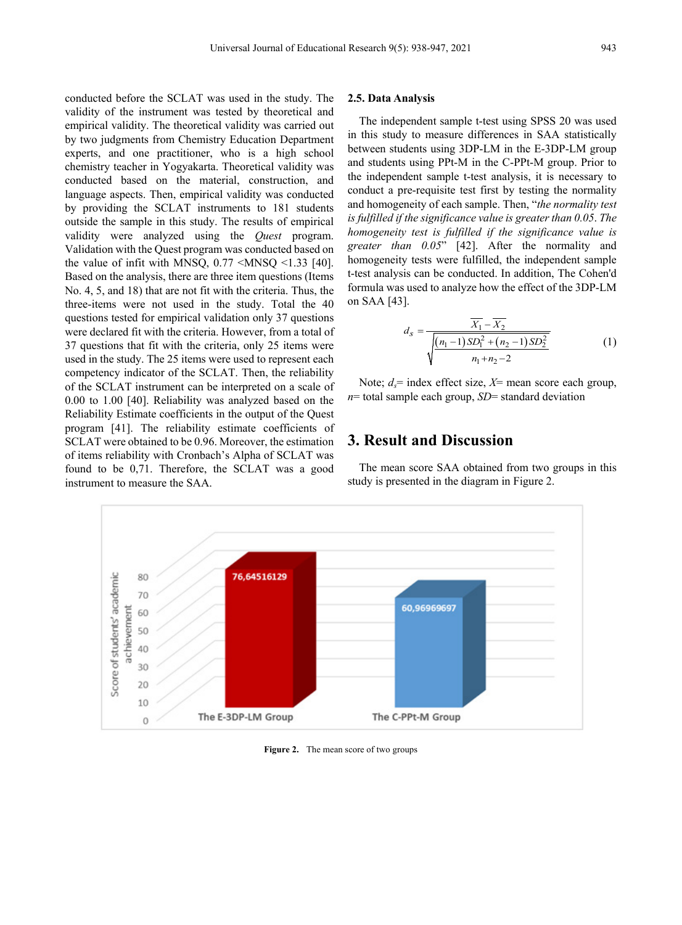conducted before the SCLAT was used in the study. The validity of the instrument was tested by theoretical and empirical validity. The theoretical validity was carried out by two judgments from Chemistry Education Department experts, and one practitioner, who is a high school chemistry teacher in Yogyakarta. Theoretical validity was conducted based on the material, construction, and language aspects. Then, empirical validity was conducted by providing the SCLAT instruments to 181 students outside the sample in this study. The results of empirical validity were analyzed using the *Quest* program. Validation with the Quest program was conducted based on the value of infit with MNSQ,  $0.77 \leq MNSQ \leq 1.33$  [40]. Based on the analysis, there are three item questions (Items No. 4, 5, and 18) that are not fit with the criteria. Thus, the three-items were not used in the study. Total the 40 questions tested for empirical validation only 37 questions were declared fit with the criteria. However, from a total of 37 questions that fit with the criteria, only 25 items were used in the study. The 25 items were used to represent each competency indicator of the SCLAT. Then, the reliability of the SCLAT instrument can be interpreted on a scale of 0.00 to 1.00 [40]. Reliability was analyzed based on the Reliability Estimate coefficients in the output of the Quest program [41]. The reliability estimate coefficients of SCLAT were obtained to be 0.96. Moreover, the estimation of items reliability with Cronbach's Alpha of SCLAT was found to be 0,71. Therefore, the SCLAT was a good instrument to measure the SAA.

#### **2.5. Data Analysis**

The independent sample t-test using SPSS 20 was used in this study to measure differences in SAA statistically between students using 3DP-LM in the E-3DP-LM group and students using PPt-M in the C-PPt-M group. Prior to the independent sample t-test analysis, it is necessary to conduct a pre-requisite test first by testing the normality and homogeneity of each sample. Then, "*the normality test is fulfilled if the significance value is greater than 0.05*. *The homogeneity test is fulfilled if the significance value is greater than 0.05*" [42]. After the normality and homogeneity tests were fulfilled, the independent sample t-test analysis can be conducted. In addition, The Cohen'd formula was used to analyze how the effect of the 3DP-LM on SAA [43].

$$
d_{s} = \frac{\overline{X_{1}} - \overline{X_{2}}}{\sqrt{\frac{(n_{1} - 1)SD_{1}^{2} + (n_{2} - 1)SD_{2}^{2}}{n_{1} + n_{2} - 2}}}
$$
(1)

Note;  $d_s$ = index effect size,  $X$ = mean score each group, *n*= total sample each group, *SD*= standard deviation

# **3. Result and Discussion**

The mean score SAA obtained from two groups in this study is presented in the diagram in Figure 2.



**Figure 2.** The mean score of two groups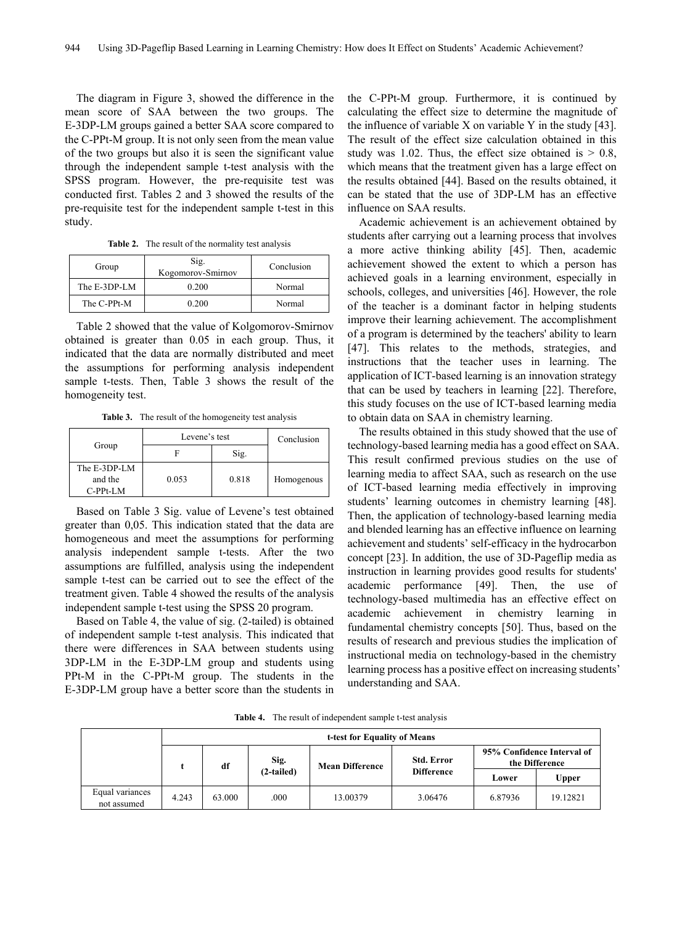The diagram in Figure 3, showed the difference in the mean score of SAA between the two groups. The E-3DP-LM groups gained a better SAA score compared to the C-PPt-M group. It is not only seen from the mean value of the two groups but also it is seen the significant value through the independent sample t-test analysis with the SPSS program. However, the pre-requisite test was conducted first. Tables 2 and 3 showed the results of the pre-requisite test for the independent sample t-test in this study.

**Table 2.** The result of the normality test analysis

| Group        | Sig.<br>Kogomorov-Smirnov | Conclusion |  |  |
|--------------|---------------------------|------------|--|--|
| The E-3DP-LM | 0.200                     | Normal     |  |  |
| The C-PPt-M  | 0.200                     | Normal     |  |  |

Table 2 showed that the value of Kolgomorov-Smirnov obtained is greater than 0.05 in each group. Thus, it indicated that the data are normally distributed and meet the assumptions for performing analysis independent sample t-tests. Then, Table 3 shows the result of the homogeneity test.

**Table 3.** The result of the homogeneity test analysis

|                                       | Levene's test | Conclusion |            |
|---------------------------------------|---------------|------------|------------|
| Group                                 |               | Sig.       |            |
| The E-3DP-LM<br>and the<br>$C-PPt-LM$ | 0.053         | 0.818      | Homogenous |

Based on Table 3 Sig. value of Levene's test obtained greater than 0,05. This indication stated that the data are homogeneous and meet the assumptions for performing analysis independent sample t-tests. After the two assumptions are fulfilled, analysis using the independent sample t-test can be carried out to see the effect of the treatment given. Table 4 showed the results of the analysis independent sample t-test using the SPSS 20 program.

Based on Table 4, the value of sig. (2-tailed) is obtained of independent sample t-test analysis. This indicated that there were differences in SAA between students using 3DP-LM in the E-3DP-LM group and students using PPt-M in the C-PPt-M group. The students in the E-3DP-LM group have a better score than the students in

the C-PPt-M group. Furthermore, it is continued by calculating the effect size to determine the magnitude of the influence of variable X on variable Y in the study [43]. The result of the effect size calculation obtained in this study was 1.02. Thus, the effect size obtained is  $> 0.8$ , which means that the treatment given has a large effect on the results obtained [44]. Based on the results obtained, it can be stated that the use of 3DP-LM has an effective influence on SAA results.

Academic achievement is an achievement obtained by students after carrying out a learning process that involves a more active thinking ability [45]. Then, academic achievement showed the extent to which a person has achieved goals in a learning environment, especially in schools, colleges, and universities [46]. However, the role of the teacher is a dominant factor in helping students improve their learning achievement. The accomplishment of a program is determined by the teachers' ability to learn [47]. This relates to the methods, strategies, and instructions that the teacher uses in learning. The application of ICT-based learning is an innovation strategy that can be used by teachers in learning [22]. Therefore, this study focuses on the use of ICT-based learning media to obtain data on SAA in chemistry learning.

The results obtained in this study showed that the use of technology-based learning media has a good effect on SAA. This result confirmed previous studies on the use of learning media to affect SAA, such as research on the use of ICT-based learning media effectively in improving students' learning outcomes in chemistry learning [48]. Then, the application of technology-based learning media and blended learning has an effective influence on learning achievement and students' self-efficacy in the hydrocarbon concept [23]. In addition, the use of 3D-Pageflip media as instruction in learning provides good results for students' academic performance [49]. Then, the use of technology-based multimedia has an effective effect on academic achievement in chemistry learning in fundamental chemistry concepts [50]. Thus, based on the results of research and previous studies the implication of instructional media on technology-based in the chemistry learning process has a positive effect on increasing students' understanding and SAA.

**Table 4.** The result of independent sample t-test analysis

|                                | t-test for Equality of Means |        |              |                        |                                        |                                              |          |  |
|--------------------------------|------------------------------|--------|--------------|------------------------|----------------------------------------|----------------------------------------------|----------|--|
|                                |                              | df     | Sig.         | <b>Mean Difference</b> | <b>Std. Error</b><br><b>Difference</b> | 95% Confidence Interval of<br>the Difference |          |  |
|                                |                              |        | $(2-tailed)$ |                        |                                        | Lower                                        | Upper    |  |
| Equal variances<br>not assumed | 4.243                        | 63.000 | .000         | 13.00379               | 3.06476                                | 6.87936                                      | 19.12821 |  |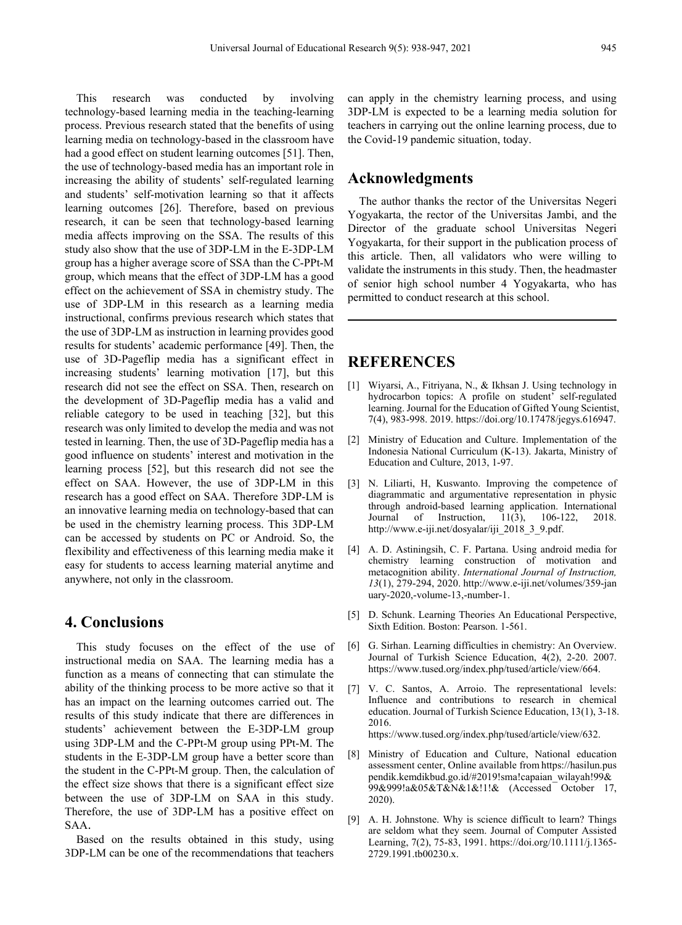This research was conducted by involving technology-based learning media in the teaching-learning process. Previous research stated that the benefits of using learning media on technology-based in the classroom have had a good effect on student learning outcomes [51]. Then, the use of technology-based media has an important role in increasing the ability of students' self-regulated learning and students' self-motivation learning so that it affects learning outcomes [26]. Therefore, based on previous research, it can be seen that technology-based learning media affects improving on the SSA. The results of this study also show that the use of 3DP-LM in the E-3DP-LM group has a higher average score of SSA than the C-PPt-M group, which means that the effect of 3DP-LM has a good effect on the achievement of SSA in chemistry study. The use of 3DP-LM in this research as a learning media instructional, confirms previous research which states that the use of 3DP-LM as instruction in learning provides good results for students' academic performance [49]. Then, the use of 3D-Pageflip media has a significant effect in increasing students' learning motivation [17], but this research did not see the effect on SSA. Then, research on the development of 3D-Pageflip media has a valid and reliable category to be used in teaching [32], but this research was only limited to develop the media and was not tested in learning. Then, the use of 3D-Pageflip media has a good influence on students' interest and motivation in the learning process [52], but this research did not see the effect on SAA. However, the use of 3DP-LM in this research has a good effect on SAA. Therefore 3DP-LM is an innovative learning media on technology-based that can be used in the chemistry learning process. This 3DP-LM can be accessed by students on PC or Android. So, the flexibility and effectiveness of this learning media make it easy for students to access learning material anytime and anywhere, not only in the classroom.

## **4. Conclusions**

This study focuses on the effect of the use of instructional media on SAA. The learning media has a function as a means of connecting that can stimulate the ability of the thinking process to be more active so that it has an impact on the learning outcomes carried out. The results of this study indicate that there are differences in students' achievement between the E-3DP-LM group using 3DP-LM and the C-PPt-M group using PPt-M. The students in the E-3DP-LM group have a better score than the student in the C-PPt-M group. Then, the calculation of the effect size shows that there is a significant effect size between the use of 3DP-LM on SAA in this study. Therefore, the use of 3DP-LM has a positive effect on SAA.

Based on the results obtained in this study, using 3DP-LM can be one of the recommendations that teachers

can apply in the chemistry learning process, and using 3DP-LM is expected to be a learning media solution for teachers in carrying out the online learning process, due to the Covid-19 pandemic situation, today.

## **Acknowledgments**

The author thanks the rector of the Universitas Negeri Yogyakarta, the rector of the Universitas Jambi, and the Director of the graduate school Universitas Negeri Yogyakarta, for their support in the publication process of this article. Then, all validators who were willing to validate the instruments in this study. Then, the headmaster of senior high school number 4 Yogyakarta, who has permitted to conduct research at this school.

## **REFERENCES**

- [1] Wiyarsi, A., Fitriyana, N., & Ikhsan J. Using technology in hydrocarbon topics: A profile on student' self-regulated learning. Journal for the Education of Gifted Young Scientist, 7(4), 983-998. 2019. https://doi.org/10.17478/jegys.616947.
- [2] Ministry of Education and Culture. Implementation of the Indonesia National Curriculum (K-13). Jakarta, Ministry of Education and Culture, 2013, 1-97.
- [3] N. Liliarti, H, Kuswanto. Improving the competence of diagrammatic and argumentative representation in physic through android-based learning application. International<br>Journal of Instruction, 11(3), 106-122, 2018. Journal of Instruction, 11(3), 106-122, 2018. http://www.e-iji.net/dosyalar/iji\_2018\_3\_9.pdf.
- [4] A. D. Astiningsih, C. F. Partana. Using android media for chemistry learning construction of motivation and metacognition ability. *International Journal of Instruction, 13*(1), 279-294, 2020. http://www.e-iji.net/volumes/359-jan uary-2020,-volume-13,-number-1.
- [5] D. Schunk. Learning Theories An Educational Perspective, Sixth Edition. Boston: Pearson. 1-561.
- [6] G. Sirhan. Learning difficulties in chemistry: An Overview. Journal of Turkish Science Education, 4(2), 2-20. 2007. https://www.tused.org/index.php/tused/article/view/664.
- [7] V. C. Santos, A. Arroio. The representational levels: Influence and contributions to research in chemical education. Journal of Turkish Science Education, 13(1), 3-18. 2016. https://www.tused.org/index.php/tused/article/view/632.
- [8] Ministry of Education and Culture, National education assessment center, Online available from https://hasilun.pus pendik.kemdikbud.go.id/#2019!sma!capaian\_wilayah!99& 99&999!a&05&T&N&1&!1!& (Accessed October 17, 2020).
- [9] A. H. Johnstone. Why is science difficult to learn? Things are seldom what they seem. Journal of Computer Assisted Learning, 7(2), 75-83, 1991. https://doi.org/10.1111/j.1365- 2729.1991.tb00230.x.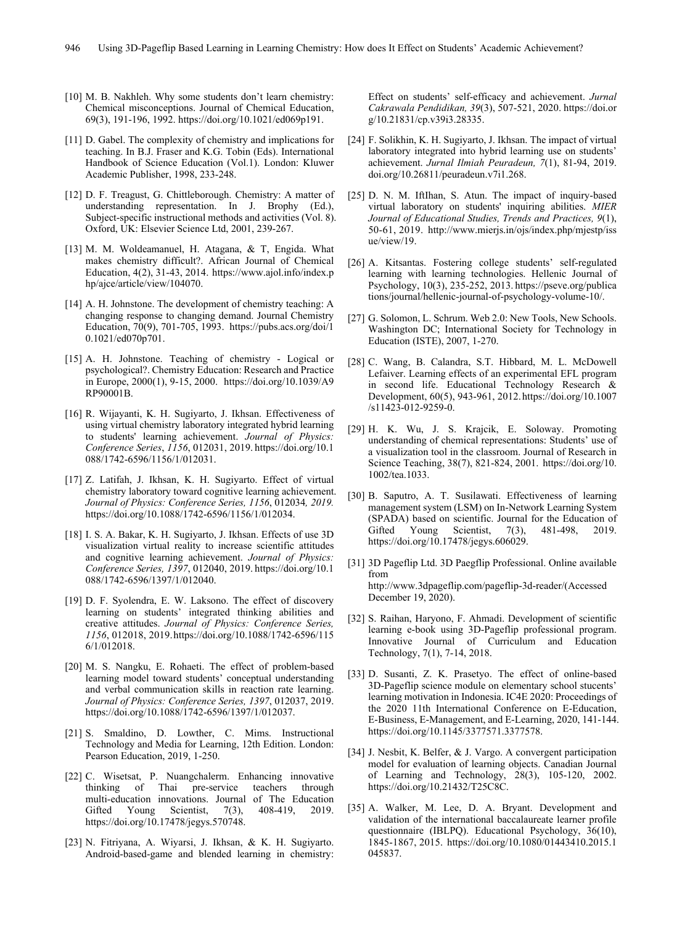- [10] M. B. Nakhleh. Why some students don't learn chemistry: Chemical misconceptions. Journal of Chemical Education, 69(3), 191-196, 1992. https://doi.org/10.1021/ed069p191.
- [11] D. Gabel. The complexity of chemistry and implications for teaching. In B.J. Fraser and K.G. Tobin (Eds). International Handbook of Science Education (Vol.1). London: Kluwer Academic Publisher, 1998, 233-248.
- [12] D. F. Treagust, G. Chittleborough. Chemistry: A matter of understanding representation. In J. Brophy (Ed.), Subject-specific instructional methods and activities (Vol. 8). Oxford, UK: Elsevier Science Ltd, 2001, 239-267.
- [13] M. M. Woldeamanuel, H. Atagana, & T, Engida. What makes chemistry difficult?. African Journal of Chemical Education, 4(2), 31-43, 2014. https://www.ajol.info/index.p hp/ajce/article/view/104070.
- [14] A. H. Johnstone. The development of chemistry teaching: A changing response to changing demand. Journal Chemistry Education, 70(9), 701-705, 1993. https://pubs.acs.org/doi/1 0.1021/ed070p701.
- [15] A. H. Johnstone. Teaching of chemistry Logical or psychological?. Chemistry Education: Research and Practice in Europe, 2000(1), 9-15, 2000. https://doi.org/10.1039/A9 RP90001B.
- [16] R. Wijayanti, K. H. Sugiyarto, J. Ikhsan. Effectiveness of using virtual chemistry laboratory integrated hybrid learning to students' learning achievement. *Journal of Physics: Conference Series*, *1156*, 012031, 2019. https://doi.org/10.1 088/1742-6596/1156/1/012031.
- [17] Z. Latifah, J. Ikhsan, K. H. Sugiyarto. Effect of virtual chemistry laboratory toward cognitive learning achievement. *Journal of Physics: Conference Series, 1156*, 012034*, 2019.*  https://doi.org/10.1088/1742-6596/1156/1/012034.
- [18] I. S. A. Bakar, K. H. Sugiyarto, J. Ikhsan. Effects of use 3D visualization virtual reality to increase scientific attitudes and cognitive learning achievement. *Journal of Physics: Conference Series, 1397*, 012040, 2019. https://doi.org/10.1 088/1742-6596/1397/1/012040.
- [19] D. F. Syolendra, E. W. Laksono. The effect of discovery learning on students' integrated thinking abilities and creative attitudes. *Journal of Physics: Conference Series, 1156*, 012018, 2019.https://doi.org/10.1088/1742-6596/115 6/1/012018.
- [20] M. S. Nangku, E. Rohaeti. The effect of problem-based learning model toward students' conceptual understanding and verbal communication skills in reaction rate learning. *Journal of Physics: Conference Series, 1397*, 012037, 2019. https://doi.org/10.1088/1742-6596/1397/1/012037.
- [21] S. Smaldino, D. Lowther, C. Mims. Instructional Technology and Media for Learning, 12th Edition. London: Pearson Education, 2019, 1-250.
- [22] C. Wisetsat, P. Nuangchalerm. Enhancing innovative thinking of Thai pre-service teachers through multi-education innovations. Journal of The Education Gifted Young Scientist, 7(3), 408-419, 2019. https://doi.org/10.17478/jegys.570748.
- [23] N. Fitriyana, A. Wiyarsi, J. Ikhsan, & K. H. Sugiyarto. Android-based-game and blended learning in chemistry:

Effect on students' self-efficacy and achievement. *Jurnal Cakrawala Pendidikan, 39*(3), 507-521, 2020. https://doi.or g/10.21831/cp.v39i3.28335.

- [24] F. Solikhin, K. H. Sugiyarto, J. Ikhsan. The impact of virtual laboratory integrated into hybrid learning use on students' achievement. *Jurnal Ilmiah Peuradeun, 7*(1), 81-94, 2019. doi.org/10.26811/peuradeun.v7i1.268.
- [25] D. N. M. IftIhan, S. Atun. The impact of inquiry-based virtual laboratory on students' inquiring abilities. *MIER Journal of Educational Studies, Trends and Practices, 9*(1), 50-61, 2019. http://www.mierjs.in/ojs/index.php/mjestp/iss ue/view/19.
- [26] A. Kitsantas. Fostering college students' self-regulated learning with learning technologies. Hellenic Journal of Psychology, 10(3), 235-252, 2013. https://pseve.org/publica tions/journal/hellenic-journal-of-psychology-volume-10/.
- [27] G. Solomon, L. Schrum. Web 2.0: New Tools, New Schools. Washington DC; International Society for Technology in Education (ISTE), 2007, 1-270.
- [28] C. Wang, B. Calandra, S.T. Hibbard, M. L. McDowell Lefaiver. Learning effects of an experimental EFL program in second life. Educational Technology Research & Development, 60(5), 943-961, 2012.https://doi.org/10.1007 /s11423-012-9259-0.
- [29] H. K. Wu, J. S. Krajcik, E. Soloway. Promoting understanding of chemical representations: Students' use of a visualization tool in the classroom. Journal of Research in Science Teaching, 38(7), 821-824, 2001. https://doi.org/10. 1002/tea.1033.
- [30] B. Saputro, A. T. Susilawati. Effectiveness of learning management system (LSM) on In-Network Learning System (SPADA) based on scientific. Journal for the Education of Gifted Young Scientist, 7(3), 481-498, 2019. https://doi.org/10.17478/jegys.606029.
- [31] 3D Pageflip Ltd. 3D Paegflip Professional. Online available from http://www.3dpageflip.com/pageflip-3d-reader/(Accessed December 19, 2020).
- [32] S. Raihan, Haryono, F. Ahmadi. Development of scientific learning e-book using 3D-Pageflip professional program. Innovative Journal of Curriculum and Education Technology, 7(1), 7-14, 2018.
- [33] D. Susanti, Z. K. Prasetyo. The effect of online-based 3D-Pageflip science module on elementary school stucents' learning motivation in Indonesia. IC4E 2020: Proceedings of the 2020 11th International Conference on E-Education, E-Business, E-Management, and E-Learning, 2020, 141-144. https://doi.org/10.1145/3377571.3377578.
- [34] J. Nesbit, K. Belfer, & J. Vargo. A convergent participation model for evaluation of learning objects. Canadian Journal of Learning and Technology, 28(3), 105-120, 2002. https://doi.org/10.21432/T25C8C.
- [35] A. Walker, M. Lee, D. A. Bryant. Development and validation of the international baccalaureate learner profile questionnaire (IBLPQ). Educational Psychology, 36(10), 1845-1867, 2015. https://doi.org/10.1080/01443410.2015.1 045837.